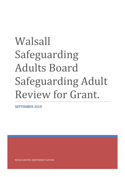# Walsall Safeguarding Adults Board Safeguarding Adult Review for Grant.

SEPTEMBER 2019

NICOLA SAWYER, INDEPENDENT AUTHOR.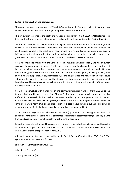#### **Section 1; Introduction and background.**

This report has been commissioned by Walsall Safeguarding Adults Board through its Subgroup. It has been carried out in line with their Safeguarding Review Policy and Protocol.

This review is in response to the death of a 77-year-old gentleman (D.O.B. 05/10/1941) referred to in this report as Grant to preserve his anonymity in line with the Safeguarding Adult Review Guidelines.

On the 10<sup>th</sup> December 2018 Grant died following an incident whereby he was found on the ground outside his third-floor apartment. Ambulance and Police services attended, and he was pronounced dead. Suspicions were raised that he may have jumped from his window as the window was open, a knife was near the window inside, the restrictor had been forced and the bedroom blinds were on the garden wall outside. A subsequent coroner's inquest stated Death by Misadventure.

Grant had moved to Walsall from the London area in 1981. He had worked locally and was an owner occupier of an apartment (Apartment 1). He was estranged from family members and reported that he had no close friends but previously had many acquaintances through his work (Housing Department), political contacts and at the local public house. In 1993 (age 52) following an allegation at work he was suspended. A long protracted legal challenge ensued and resulted in an out of court settlement for him. It is reported that the stress of this incident appeared to have led to a mental breakdown and first admission to a psychiatric hospital. Grant took early retirement in 1994 and never formally worked thereafter.

Grant became involved with mental health and community services in Walsall from 1996 up to the time of his death. He had a diagnosis of Chronic Schizophrenia and personality problems. He also suffered from several physical health conditions including gout, osteoporosis, mobility issues, registered blind in one eye and wore glasses, he was deaf and wore a hearing aid. He also experienced Tinnitus. He was a heavy smoker and used to drink in excess in younger years but had cut it down to moderate later in life. He had experienced a fractured neck of femur in 2013.

Grant had for many years lived in his owned apartment (Apartment 1). Following periods of hospital admissions for his mental health he was discharged to alternative accommodation(s) including a Care Home and Apartment 2 where he was living at the time of his death.

Following the death of Grant and his recent and continued contacts both as an inpatient and in receipt of community support the local Mental Health Trust carried out a Serious Incident Review with Root Cause Analysis (date of report final 08/03/2019).

A Rapid Review meeting was requested by Adults Social Care (ASC) and held on 30/01/2019. The agencies in attendance were as follows:

Local Clinical Commissioning Group (CCG)

Adult Social Care (ASC)

Housing Association (HA)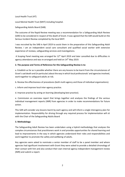Local Health Trust (HT)

Local Mental Health Trust (MHT) including hospital.

Safeguarding Adults Board (SAB).

The outcome of the Rapid Review meeting was a recommendation for a Safeguarding Adult Review (SAR) to be considered in respect of the death of Grant. It was agreed that the SAR would build on the Serious Incident Review completed by the local MHT.

I was recruited by the SAB in April 2019 to assist them in the preparation of this Safeguarding Adult Review. I am an independent social care consultant and qualified social worker with extensive experience of reviews, safeguarding services and investigations.

A Scoping Panel meeting was arranged for 12<sup>th</sup> April 2019 and later cancelled due to difficulties in agency attendance and was re-arranged and held on 14<sup>th</sup> May 2019.

#### **2. The purpose and Terms of Reference for this Safeguarding Review is to:**

a. Establish as far as is possible whether there are any lessons to be learnt from the circumstances of Grant's sad death and (in particular) about the way in which local professionals' and agencies involved, work together to safeguard adults at risk.

b. Review the effectiveness of procedures (both multi-agency and those of individual organisations).

c. Inform and improve local inter-agency practice.

d. Improve practice by acting on learning (developing best practice).

e. Commission an overview report that brings together and analyses the findings of the various individual management reports (IMR) from agencies in order to make recommendations for future action.

This SAR will consider any lessons learnt by each agency and will inform a single interagency plan for implementation. Responsibility for driving through any required process for implementation will sit with the Chair of the Safeguarding Adults Board

#### **3. Methodology:**

The Safeguarding Adult Review has been undertaken using a hybrid methodology that analyses the complex circumstances that practitioners work in and provides opportunities for shared learning and lead to improvements in the way in which agencies understand their roles and responsibilities and work together to promote the safety and wellbeing of adults.

Key agencies were asked to nominate a senior member of staff to be a panel member and where agencies had significant involvement with Grant they were asked to provide a detailed chronology of their contact with him and also conduct their own internal agency independent management review (IMR) and submit a report.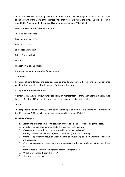This was followed by the sharing of written material in order that learning can be shared and analysed taking account of the views of the professionals that were involved at the time. This took place at a round table Practitioner Reflection and Learning Workshop on 24<sup>th</sup> July 2019.

IMR's were requested and submitted from:

The Ambulance Service

Local Mental Health Trust

Adult Social Care

Local Healthcare Trust

British Transport Police

Police

Clinical Commissioning group

Housing Association responsible for apartment 2

Care Home

Key areas of consideration included agencies to provide any relevant background information that would be important in setting the context for Grant's situation.

## **4. Key themes for consideration:**

A Safeguarding Adults Review Panel (consisting of representatives from each agency) meeting was held on 14<sup>th</sup> May 2019 and set the scope for the review and key lines of enquiry.

#### **Scope:**

The scope for the review was agreed to cover the time period from Grant's admission to Hospital on the  $4<sup>th</sup>$  February 2018 up to his unfortunate death on December 10<sup>th</sup>, 2018.

## **Key Lines of enquiry:**

- 1. Liaison and information sharing between professionals and record keeping in the case.
- 2. Identify examples of good practice, both single and multi-agency.
- 3. Was capacity assessed, recorded and specific to certain decisions?
- 4. Was legislation (Mental Capacity/Mental Health Act) used appropriately?
- 5. Was there appropriate focus on Grant's health and wellbeing and how was this considered and addressed?
- 6. What risk assessments were undertaken to consider other vulnerabilities Grant may have had?
- 7. Was Grant able to access the right services at the right time?
- 8. What have you learnt from this case?
- 9. Highlight good practice.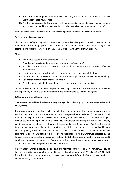- 10. In what ways could practice be improved; what might have made a difference to the way Grant experienced your service.
- 11. Are there implications for the ways of working; training (single or interagency); management and supervision; working in partnership with other agencies; resources, commissioning?

Each agency involved submitted an Individual Management Report (IMR) within the timescale.

#### **5. Practitioner Learning events**

The Regional Safeguarding Adult Review Policy includes this process which characterises a reflective/action learning approach in a no-blame environment. Two events were arranged and attended. The first event was held on the 24<sup>th</sup> July prior to writing the draft SAR report.

This event:

- Heard first- accounts of involvement with Grant
- Provided an opportunity to ensure an accuracy of the 'case story'
- Provided an opportunity to consider and analyse interventions in a safe, reflective environment
- Considered the context within which the practitioners were working at the time
- Explored what information, activity or circumstances might have influenced decision making
- Considered recommendations for the review
- Provided an opportunity for practitioners to shape future policy and practice.

The second event was held on the 3<sup>rd</sup> September following circulation of the draft report and provided the opportunity for clarifications, amendments and comments to be shared and agreed.

#### **6.Chronology of significant events:**

# **Overview of mental health relevant history and specifically leading up to re-admission to hospital on 04/02/18.**

Grant was voluntarily admitted to a local psychiatric hospital following his hearing unpleasant voices and becoming disturbed by the experience. He was diagnosed with a relapse of Schizophrenia and remained in hospital for further assessment and management from 11/09/17 to 24/01/18. During his time on the ward he improved without any change to medication and is reported as having capacity, good insight and scored low on self-harm risk assessments. Grant was living in Apartment 1 at that time and had expressed a wish not to return there as he felt the neighbours had changed and he was not happy living there. He remained in hospital whilst his social worker looked for alternative accommodation. This was found at a local Housing Association complex. Grant was accepted by the housing association complex which is a semi-independent sheltered accommodation where you could purchase care support as necessary. Grant went without requiring/wanting personal care support. Grant had a trial stay arranged for the end of October 2017.

Unfortunately, Grant did not stay long (4 days) and returned to the ward on 3<sup>rd</sup> November2017 saving he could not settle and was agitated. He did however keep his tenancy until  $21^{st}$  March 2018. The IMR from the Housing complex Apartment 2 state that they were informed of Grant's re-admission to hospital in early January 2018*.*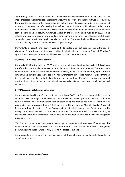On returning to hospital Grant settled and remained stable. He discussed his care with the staff and made choices about his medication regarding a return to a previous one that he felt was more suitable. Grant wanted to explore other accommodation options other than Apartment 2. He was supported to look at other places but after seeing them refused them all. In January 2018 he decided to return to Apartment 1 which he still owned. An Occupational Health assessment and home assessment were carried out to enable a return. Grant was visited on the ward by a social worker on 18/01/18 he refused any social care support and would not divulge information for a financial assessment. He was deemed to have capacity and insight to make this decision. Grant was discharged home to Apartment 1 on 24<sup>th</sup> January 2018 with a mental health support package.

On 01/02/18 a Support Time Recovery Worker (STR1) visited Grant but got no answer at the door or via phone. They left a voicemail message stating they had called and reminding Grant of 'Monday's' appointment. This appointment would have been on the 5<sup>th</sup> February 2018.

## **04/02/18. Ambulance Service contact.**

Grant called 999 to the police at 08.06 stating that he felt unwell and feeling suicidal. This call was transferred to the Ambulance service. An ambulance was dispatched and on arrival Grant told them he had run out of his Schizophrenia medication 3 days ago and said he had been trying to suffocate himself with a carrier bag as the voices in his head were telling him to kill himself. Grant also informed the ambulance crew that he had fallen the previous day and hurt his wrist. He was examined and medical observations carried out. He refused any pain relief. He was then taken to A&E at the local hospital.

#### **04/02/18. Accident & Emergency contact.**

Grant was seen in A&E at 09.59 on the Sunday morning of 04/02/18. The records noted that he had a history of suicidal thoughts and had run out of his medication 3 days ago. Grant told staff he wanted to throw himself under a bus and that he couldn't stop crying and hadn't slept. A mental health referral was made, and he received this at 10.40 am. During Grant's time in A&E STR Worker 1 arrived following a discussion with the Older People's Mental Health Liaison service. Grant expressed his feelings of hopelessness. He said his move to apartment 2 had not improved his social situation, he did not wish to return to apartment 1 and he believed he had been '*conned into moving and the system was against him'.*

STR Worker 1 noted that Grant was showing signs of paranoia and wondered if issues with his medication may have affected this. It was further noted that Grant was unkempt with a strong body odour suggesting that he was not fully meeting his personal hygiene.

Grant was admitted voluntarily to the local psychiatric hospital where he had been discharged from on 24th January 2018.

**Re-admission to hospital 04/02/18**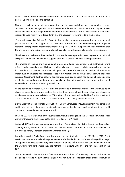In hospital Grant recommenced his medication and his mental state soon settled with no psychotic or depressive symptoms or signs persisting.

Risk and capacity assessments were carried out on the ward and Grant was deemed able to make decisions about his management. His risk assessment did not indicate any concerns. Cognitive tests indicated a mild degree of age-related impairment that warranted further investigation in view of his inability to cope with living independently and the apparent forgetting to take medication.

The quick successive failures for Grant to live in the community prompted a more structured placement with 24-hour support to be considered. A Residential Care Home setting was proposed rather than independent or semi-independent living. This view was supported by the observation that Grant's mental state quickly settled whilst in hospital even without any changes to his medication.

The above proposals were discussed with Grant and he was reported as seeming receptive to it and accepting that he would need more support than was available to him in recent placements.

The process of funding and finding suitable accommodation was difficult and protracted. Grant refused to discuss and disclose his finances with social workers (a pre-requisite to applying for funding for a residential placement). Grant had a long-term mistrust of social workers and Social Services. In March 2018 an advocate was suggested to assist him with sharing his views and wishes with the Social Services Department. Further delay to his discharge occurred as Grant had doubts about going into residential care and requested more time to make up his mind. An advocate was found at the end of two weeks and attended a meeting a week later.

At the beginning of March 2018 Grant had to transfer to a different hospital as the ward was being closed temporarily for a water system flush. Grant was upset about the move but was pleased to receive continuing support/visits from STR worker 1. The support included taking Grant to apartment 1 and apartment 2 to sort out post, collect clothes and clear things where necessary.

During Grant's time in hospital a Deprivation of Liberty Safeguards (DoLS) assessment was completed and he did not meet the requirements as he was assessed as having capacity and able to give valid consent to care and treatment on the ward.

In March 2018 Grant's Community Psychiatric Nurse (CPN) changed. The CPN contacted Grant's social worker introducing themselves as the care co-ordinator (CPN/CC2).

On March 20<sup>th</sup> notice was given on Apartment 2 and Grant wished for his furniture to be disposed of. Capacity was again deemed in respect of this decision and his allocated Social Worker formed part of a multi-disciplinary approach preparing Grant for discharge.

Invitations to Adult Social Care regarding a ward meeting took place on the 27<sup>th</sup> March 2018. Grant was flagged up on the email exchange between the Ward and Adult Social Care as a Delayed Discharge. The appointed Advocate had arranged to meet Grant on the 28<sup>th</sup> therefore ASC staff would not attend the ward meeting as they said they had nothing to contribute until after the Advocates visit on the  $28<sup>th</sup>$ .

Grant remained stable in hospital from February to April and after viewing a few care homes he decided to return to his own apartment (1). It was felt by the hospital staff that a trigger to return to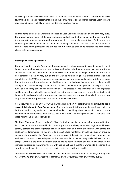his own apartment may have been when he found out that he would have to contribute financially towards his placement. Assessments carried out during his period in hospital deemed Grant to have capacity and mental stability to make this decision to return home.

Further home assessments were carried out and a Case Conference was held during early May 2018. Grant was involved in part of the case conference and advised that he would need to decide within the week as to whether he returned to Apartment 1 or accept a placement found for him at a care home for people with mental health conditions including a dementia care service. Grant had visited a different care home previously and did not like it. Grant was enabled to research the care homes placements being considered.

## **Discharged back to Apartment 1.**

Grant decided to return to Apartment 1. A care support package was put in place to support him at home. He agreed to receive the care package and to be visited by his support worker, the Home Treatment Team and Older Adults Community Mental Health team on a regular basis. He was due to be discharged on the 9<sup>th</sup> May but on the 8<sup>Th</sup> May he refused to go. A physical examination was completed on the 9<sup>th</sup> May and showed no acute concerns. He was deemed medically fit for discharge. During Grant's hospital stay his glasses had broken and he had ongoing issues with his hearing aid stating that staff had damaged it. Ward staff reported that Grant had a problem cleaning the plastic tubes to the hearing aid and was agitated by this. The process for replacement and repair of glasses and hearing aid was a lengthy one as Grant refused to use certain services. He was to be discharged home with 14 days of medication. An escort and transport were provided to take him home. An outpatient follow-up appointment was made for two weeks' time.

Grant returned home on 10<sup>th</sup> May 2018. It was noted by the CPN **that it would be difficult to see a successful discharge to Grant's apartment.** The hospital ward staff requested a contingency plan to be formulated in conjunction with the social worker to avoid inpatient readmission due to Grant's history with non-compliance with services and medications. The plan agreed a joint visit would take place with the CPN and social worker.

The Home Treatment Team visited on 11<sup>th</sup> May for their planned assessment. Grant reported that he felt stable on his medication and hadn't heard any voices since being at home (1 day). He said he was socially isolated and being registered blind and deaf he found it difficult to interact with others. He said he missed interaction. He was offered a place at a local mental health wellbeing support group to enable social interaction, but Grant was hesitant as some of the activities included pub gatherings, he said he did not want to overindulge in alcohol. Despite other activities being available he still did not accept. Grant told the assessment staff that he had no active intent to end his life but that with his increasing disabilities that were inherent with age he just had thoughts of wanting to die rather than deteriorate with age. He said he had no plan to hasten his death with suicide.

The assessment showed no clinical indication for the Home Treatment Team at that stage as they *'had not identified a crisis or medication concordance or any delusional beliefs or psychosis elicited'.*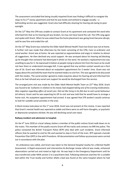The assessment concluded that being visually impaired Grant was finding it difficult to navigate the steps to his  $2^{nd}$  storey apartment and that he was lonely and wished to engage socially – a befriending service was suggested. Grant also had difficulty cleaning his hearing aid owing to poor eyesight.

On the  $12<sup>th</sup>$  May the CPN was unable to contact Grant at his apartment and contacted the ward who informed him that as his hearing aid was broken, he may not have heard the call. The CPN rang again and spoke with Grant. When he was asked how the home placement was going Grant became abrupt, said he was fine and ended the call.

On the 15<sup>th</sup> May Grant was visited by the Older Adult Mental Health Team but Grant was not at home. A further visit was made that afternoon by the team consisting of the CPN, Care co-ordinator and social worker. Grant was at home. He was reported as argumentative and angry in relation to almost all suggestions. He then declined any social support. He was annoyed about his hearing aid blocking up he thought that someone had destroyed it whilst on the ward. He wanted a replacement but was unwilling to pay for it. He expressed irritation at people trying to phone him from the team as he could not hear them or understand messages left. It was agreed that any written contact would use a font size of 16. Grant was informed about an outpatient appointment for 3 weeks' time. Grant was not happy about this and told the team that he wanted medics to visit him. This was agreed to be discussed with the medics. The social worker agreed to make enquiries about his hearing aid and informed him that as he had refused any social care support he would be discharged from the service.

The arranged joint visit was made by the Older Adult Mental Health Team on 22<sup>nd</sup> May 2018. Grant was found to be *'euthymic in relation to his mood, had stopped taking one of his evening medications. Was negative regarding offers of social care. Did not like living in his flat due to anti-social behaviour (*of others*).* Grant said he was expecting his GP to visit and was told that he would have to arrange a home visit. His outpatient appointment had arrived. It was agreed that STR worker1 would continue to look for suitable social activities in the area.

A Ward review took place on the 1<sup>st</sup> June 2018. Grant was not present at this review. It was reported that Grant's mental health was reported as stable and there were no self-harm thoughts, or psychotic or depressive symptoms elicited. He was still declining social care input.

## **Railway incident and admission to hospital.**

On the 4th June 2018 at a local railway station a member of the public notices Grant walk down on to the tracks. This member of the public escorts Grant off the tracks and contacts via 999 the police. The police contacted the British Transport Police (BTP) who deal with such incidents. Grant informed officers that he wanted to end his life and wanted to step in front of the train. BTP opened a Suicide Prevention Plan (SPP) in line with Procedure. All documentation and follow up processes were carried out in accordance with the plan.

An ambulance was called, and Grant was taken to the General Hospital nearby for a Mental Health Assessment. A Rapid assessment and intervention & discharge review referral was made, enhanced observations carried out and noted as high risk. He was kept in the Emergency Department until he was transferred under MHA section 2 to a psychiatric bed. Following extensive searches for a suitable bed within the Trust locally and further afield a bed was found at the same hospital where he had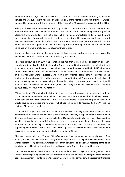been up to his discharge back home in May 2018. Grant was offered the bed informally however he refused and was subsequently admitted under Section 2 of the Mental Health Act (MHA). He was readmitted to the same ward. The legal status of the section2 of MHA was discharged on 26/06/2018.

Whilst on the ward Grant was deemed as having capacity to consent to admission and treatment. It is reported that Grant's suicidal idealisation and threats were due to him wanting a more supported placement as he was finding it difficult to cope in his own home. Grant stated he did not like the ward environment but showed reluctance to consider other options. He would not participate in ward activities and stated he would prefer a care home environment. It was felt at this time that a care home with 24-hour support would be the most appropriate setting to meet his care needs. He remained on the ward until a suitable placement was found.

Grant complained about his not having suitable reading glass*es or* hearing aid and this was making his life difficult. His care plan reflected actions to rectify both needs.

The ward review held on 12<sup>th</sup> June identified the risk that Grant had suicide ideation and noncompliant with medication. Prior to the review Grant had stated that he regretted the suicide attempt – he had thought of the driver and changed his mind. He said he recognised he had difficulties selfadministering his eye drops. He would consider warden-controlled accommodation. A further supply of clothes for Grant were requested via the Community Mental Health Team. Grant attended the review meeting and consented to those present. He stated that he felt 'claustrophobic' as he is used to his own company. He compared being on the ward to being in prison and he was restricted. He told them he was a '*lonely old man without any friends and recognises he does need help but is stubborn and did not know which frame he fitted in'* 

STR worker1 and STR worker2 visited Grant to discuss accessing his property to obtain some clothing. Grant was adamant and reluctant to allow STR worker 2 into his property without him being present. Ward staff and the ward Doctor advised that Grant was unable to leave the hospital as Section 17 would have to be arranged and he was at risk of not coming back to hospital. By the 19<sup>th</sup> June the section 17 leave was completed.

Grant was the subject of many multi-disciplinary ward reviews and lengthy discussions were had with him regarding his condition and needs especially his reduced ability to cope on his own. He continued to refuse to discuss his finances and assets for Social Services to decide what his financial contribution would be towards the cost of living in a care home. His mental state during this admission was reported as stable and regular assessments did not indicate any risk if he was in a structured and supporting environment. Adult Social Care were requested to become involved again regarding a social care assessment and finding a suitable care home for Grant.

The ward review held on 19<sup>th</sup> June 2018 reflected that Grant remained settled on the ward often reading and isolative in his manner, eating and sleeping well and no new physical health issues. There were no safeguarding concerns. Grant requested that he wanted to look at CQC reports prior to going on visits. He said he did not want to return to his Apartment 1 and felt neglected by social

services. He requested an optometric appointment and discussed his eyes and hearing issues. There were concerns regarding capacity decisions regarding health and finance. It was agreed that a mental capacity assessment regarding Grant's decision making would be carried out. The assessment findings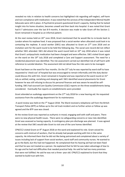revealed no risks in relation to health concerns but highlighted risk regarding self-neglect, self-harm and non-compliance with medication. It was noted that the services of the Independent Mental Health Advocate were still in place. A Psychiatrist present questioned Grant's capacity, feeling that he lacked insight into his home situation, becomes unwell and then back into hospital. It was noted that Grant had 6-7 admissions over the last 8-9 months. A decision was made to take Grant off the Section 2. Grant remained in hospital as an informal patient.

At the next review held on 26<sup>th</sup> June 2018, Grant mentioned that he would like to re-locate back to London where his nephew lived. It was proposed that a social worker when allocated could look in to contacting the nephew. A social worker (SW1) was allocated to Grant on  $27<sup>th</sup>$  June 2018 and an invitation sent for the ward round to be held the following day. The social care record did not reflect whether SW1 attended. SW1 did attend the ward round held on  $10<sup>th</sup>$  July 2018 where it was noted that Grant's antipsychotic medication had been changed and were effective. SW1 visited Grant again on the ward on the 19<sup>th</sup> July 2018 and completed a Care and Support assessment. The need for a residential placement was identified. The risk assessment carried out identified risk of self-harm with reference to suicidal ideation. The assessment did not detail how the risks were to be managed.

Grant had been on the ward for four months. On the 25<sup>th</sup> July he was reported by ward staff to have requested to 'check out' of hospital but was encouraged to remain informally until the duty doctor could discuss this with him. Grant remained in hospital and was reported at the ward round on 31<sup>st</sup> July as settled, eating, socialising and sleeping well. SW1 identified several placements for Grant however he was still refusing to discuss his personal finances and was aware he would be selffunding. SW1 had sourced Care Quality Commission (CQC) reports on the three establishments being considered. Eventually five reports on establishments were provided.

Grant attended an audiology appointment on the 27<sup>th</sup> July 2018 for a new hearing aid. He requested assistance from the audiology department for its maintenance.

A ward review was held on the 7th August 2018. The Ward received a telephone call from the British Transport Police (BTP) as follow up to the rail track incident and no further action or follow up was agreed and the BTP case was closed.

At the review Grant was reported as euthymic in mood, engaging well with staff and peers. There were no new physical health issues. There were no safeguarding concerns or new risks identified. Grant was assessed as having capacity. A contingency plan pre-discharge was planned. It was agreed at the review that SW1 would take Grant to visit one of the care homes identified.

CPN/CC2 visited Grant on 9th August 2018 on the ward and explained his role. Grant voiced his concerns with mistrust of workers, that he already had people working with him in the same capacity. He informed them that he did not like being patronised and complained about a variety of issues including lack of support from social workers, ward staff and community nurses. He wanted to go to the Bank, but this had not happened. He complained that his hearing aid had not been fixed and that he was not treated as a person. He explained that he felt he was taken advantage of due to his age and he had real difficulties that needed practical help. He said he had too many promises that were not fulfilled. He said he was not a three- year old. CPN/CC2 explained to Grant that they wanted to build trust with him.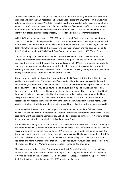The ward review held on  $14<sup>th</sup>$  August 2018 Grant stated he was not happy with the establishments proposed and from the CQC reports seen he would not be accepting anywhere soon. He was still not willing to discuss his finances. Ward staff reported that Grant was refusing to move to a care home as he said he '*did not want to pay a lot of money and he would be served cold food'*. It was noted that a care home identified had no vacancies at that time. CPN/CC2 agreed to work with SW1 to identify a suitable placement that preferably catered for Elderly Mentally Infirm residents.

Whilst SW1 was on annual leave the CPN/CC2 contacted Adult Social care requesting whether a cover social worker could be provided to discuss care home placements. The CPN/CC2 was advised that the SW1 would be at work the following week. CPN/CC2 visited Grant on 16<sup>th</sup> August and was told by him that he wanted to bank a cheque for a significant amount and had been unable to do this. Contact was made by CPN/CC2 with Grant's previous support worker (STR Worker 3) to assist.

On the 21st August 2018 Grant was taken to the bank by CPN/CC2 and STR Worker 3 and then visited the residential care home identified. Grant said he quite liked the care home and would consider it overnight. Grant then said that he would accept it. STR Worker 3 informed the ward, the care home manager and social worker about this decision (however *it was noted at the Practice Learning Event 2 that there was no record of the social worker receiving this information*). The home manager agreed to visit Grant on the ward later that week.

Grant chose not to attend his ward review meeting on the 28<sup>th</sup> August stating it would agitate him and be counterproductive. The review identified that risks identified were managed in the ward environment, his mood was stable and no new issues. Grant was recorded in a pre-review discussion as looking forward to moving to his new home and would give it a good try. He had insisted on having an agreement that he could go out on his own from the home. The care home insisted that he sign a disclaimer to be able to do this. Grant was assessed as having capacity. Grant had been accepted at the care home for a trial period of 6 weeks due to his history. The plan for Grant was recorded as 'the medical team' to apply for Guardianship once Grant was in the care home. Grant was to be discharged with two weeks of medication and the trial period to start as soon as possible.

Grant arrived at the care home on 31<sup>st</sup> August but was not expected until the following week, however he remained there. A report to STR Worker 3 from ward staff records that on arrival at the care home Grant had become aggressive saying he had not agreed to go there. STR Worker 3 agreed to check on him later that day which he did and reassured Grant.

STR Worker 3 visited again on 3<sup>rd</sup> September. Grant informed STR Worker 3 that he was not happy at the care home and was hoping his nephew would find a place. Grant was told to discuss this with his social worker who was to visit the next day. STR Worker 3 was informed by the home manager that Grant had tried to leave the home the evening after admission and had pushed a member of staff in the chest and shouted at them. Grant had been critical of everything the staff did and was rude to residents. The home manager stated that unless Grant settled, they would not be able to keep him. They requested that STR Worker 3 visited more often to monitor the situation.

The care home recorded on the  $3<sup>rd</sup>$  September that they informed Grant that his current GP was unable to visit him at this address and so Grant agreed to a change of GP. Grant was visited by the GP/Practice Nurse on the  $2^{nd}$  October (GP 2),  $4^{th}$  October (Nurse) 16<sup>th</sup> October (GP3). It was noted that Grant had been with the original GP (GP1) practice for 9+ years.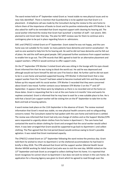The ward review held on  $4<sup>th</sup>$  September noted Grant as 'mood stable no new physical issues and no new risks identified'. There is mention that Guardianship is to be applied now that Grant is in placement. A telephone call was made by the Consultant during the review to the care home to inform them of the importance of books to Grant and his positive relationship with STR Worker 3. He also asked for staff to be reminded that Grant required support with cleaning his hearing aid. The social worker informed the review that Grant had 'punched' a member of staff – not severe. SW1 planned to visit Grant later that day. The plan for MDT reviews was for them to continue and a contingency plan to be put in place regarding future re- admissions.

SW1 and CPN/CC2 visited Grant on 4<sup>th</sup> September. Grant stated he was not happy, and the care home was not suitable for his needs 'as many patients have dementia and restrict socialisation'. He said no-one wanted to help him fix his hearing aid. He said he did not have dementia and he felt out of place. He said the staff were good people. SW1 proposed further assistance from support workers to enable him to go out. The CPN records that SW1 agreed to look for an alternative placement and support workers. CPN/CC2 would continue to offer support visits.

On the 5th September STR Worker 3 visited Grant who was sitting in the lounge with his eyes closed. Grant informed him that he was trying to block the world out. He said he was depressed and although would not harm himself he did not care if he lived or died. He further said he did not want to be in a care home and wanted supported housing. STR Worker 3 informed Grant that a new support worker from the 'Council' had been asked to become involved with him and they would follow up this request with his social worker. STR Worker 3 recorded that they were concerned about Grant's low mood. Further contacts occur between STR Worker 3 on the 7<sup>th</sup> and 10<sup>th</sup> September. It appears that these were by telephone as there is no recorded visit at the home on those dates. Grant is requesting that he is not at the care home in 6 months' time and wants his nephew contacted. Grant is informed that he may have to wait for a new suitable place to live. He is told that a Social Care support worker will be visiting him on the 8<sup>th</sup> September to take him to the Bank and look at housing options.

A ward review took place on the 11th September in the absence of Grant. The review received information that Grant's mood was stable, no new physical health concerns and no safeguarding concerns noted. The Consultant stated he had spoken with the care home and told Grant is settled. The review was informed that Grant had only one change of clothes and so the Support Worker/CPN were requested to urgently obtain clothes from his home in Apartment 1. The care home had contacted the ward to obtain clothing for Grant and arranged that the social worker would collect them. It was later arranged that Grant would be supported to go back to Apartment 1 and collect clothing. The Plan agreed that the trial period (leave) would continue owing to Grant's possible agitation. It was noted that Grant maintained capacity.

The CPN/CC2 visited Grant on 12<sup>th</sup> September following the ward review the previous day. Grant told them he wished to return to Apartment 2 at the sheltered accommodation he had lived in briefly in May 2018. The CPN advised that Grant tell the support worker (Mental Health Social Worker MHSW working for Adult Social Care) who was to visit the next day. MHSW visited on the 13<sup>th</sup> September and took Grant as arranged to collect clothing from his home. It is reported that Grant recognises he cannot return to Apartment 1 but does not wish to remain in the care home. An application for a Housing Agency was given to Grant which he agreed to read through over the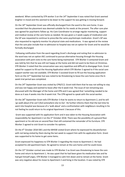weekend. When contacted by STR worker 3 on the 14<sup>th</sup> September it was noted that Grant seemed brighter in mood and this seemed to be down to the support he was getting in moving forward.

On the 18<sup>th</sup> September Grant was officially discharged from the ward to the care home. It was recorded that the placement was deemed suitable for his needs at the present. The after-care plan was agreed for psychiatric follow up. His Care Coordinator to arrange regular monitoring, support and medical review at the care home as needed. He was given a 2-week supply of medication and the GP was requested to continue to prescribe the same psychotropic medication. Grant's GP was also requested to regularly monitor his physical state and medications. It was agreed at the review that the care plan include that re-admission to hospital was not an option for Grant and he would be formally discharged.

Following notification from the ward regarding Grant's discharge and noting that re-admission to the ward was not an option ASC continued to pursue alternative housing through the Housing association with joint visits to the care home being maintained. STR Worker 3 contacted Grant and was told by him that he was still not happy at the home and did not want to be there at Christmas. STR Worker 3 noted that the conversation was very repetitive and difficult to disengage from. Grant asked for support to fill out the Housing Application which STR Worker 3 agreed to if the social care support worker was not available. STR Worker 3 assisted Grant to fill out the housing application form on the  $22<sup>nd</sup>$  September but was noted to be threatening to leave the care home once the 6week trial period was completed.

On the 24<sup>th</sup> September Grant was visited by CPN/CC2. Grant told them that he was not willing to stay and was not happy and wanted to leave after the 6-week trial. The issue of not remaining was discussed with the Manager of the home and CPN and it was agreed that 'something needed to be done as it was 4 weeks into the 6-week trial. The CPN agreed to speak with the social worker.

On the 28<sup>th</sup> September Grant tells STR Worker 3 that he wants to return to Apartment 2, and he will '*go walk about if he can't find somewhere else to live'*. He further informs them that the last time he went into hospital was because of a 'walk about' and a confrontation with neighbours resulting in his not feeling he could return to his original Apartment 1 because of this.

Grant was supported with his application form and it was taken to the Housing Association with responsibility for Apartment 2 on the  $3<sup>rd</sup>$  October 2018. There was the possibility of a ground floor apartment or his old one on second floor that still contained the remainder of his furniture. STR Worker 3 agreed to visit Grant to consider his options.

On the 4th October 2018 SW1 and the MHSW visited Grant where he expressed his dissatisfaction with not being visited by them during the last week to support him with his application form. Grant was supported to his home to get some items.

Grant expressed his happiness to STR Worker 3 regarding the move to Apartment 2. He had accepted his old apartment back. He agreed to remain at the care home until he could move.

On the 15<sup>th</sup> October contact was made to STR Worker 3 as Grant was threatening to leave the care home and return to Apartment 1. He was upset that he had been given his medication late and he had got himself angry. STR Worker 3 managed to calm him down and to remain at the home. Grant was very negative about his move to Apartment 2 and living in the location. It was noted by STR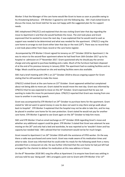Worker 3 that the Manager of the care home would like Grant to leave as soon as possible owing to his threatening behaviour. STR Worker 3 agreed to visit the following day. SW 1 had visited Grant to discuss the move, but Grant told her he was not happy with the suggested plan for his support needs.

SW1 telephoned CPN1/CC2 and explained that she was visiting Grant later that day regarding the move to Apartment 2 and that she would facilitate the move. The visit took place and Grant expressed that he wanted to move the next day. It was explained that he would need to wait as support was needed to be determined and what was needed for the apartment. CPN/CC2 rang the care home to arrange to visit Grant either later that day or the next (19<sup>th</sup>). There was no record that a visit took place either from Oasis record or the care home register.

Accompanied by STR Worker 3 Grant signed his tenancy on 22<sup>nd</sup> October 2018 for Apartment 2. He was to return to the second-floor apartment where he had lived from 16th October 2017 up to his hospital re- admission on 3<sup>rd</sup> November 2017. Grant questioned why he should pay the service charge and only agreed to purchase bedding and a radio. Much of the furniture had been disposed of at the end of his previous tenancy in January 2018. The apartment had no cooking facilities and no fridge. Meals could be purchased on site and washing facilities were also available.

SW1 had a brief meeting with CPN 1 on 22<sup>nd</sup> October 2018 to discuss ongoing support for Grant stating that he still wanted to make the move.

CPN/CC2 visited Grant at the care home on 23rd October. Grant appeared settled but complained about not being able to move yet. Grant stated he would move the next day. Grant was informed by CPN/CC2 that he was expected to move on the  $26<sup>th</sup>$  October. Grant expressed that he was not wanting to make this move his permanent place. CPN/CC2 reported that Grant was moving from one issue to another in one long speech.

Grant was accompanied by STR Worker3 on  $24<sup>th</sup>$  October to purchase items for the apartment. Grant stated he '*did not want to spend money in case he does not want to stay there and go walk about back to hospital'*. STR Worker 3 explained that the hospital may not be able to take him, and he may be placed in another care home for his own protection. Grant stated he would not pay for another care home. STR Worker 3 agreed to see Grant again on the 26<sup>th</sup> October to help him move.

SW1 and STR Worker 3 had an email exchange on 25<sup>th</sup> October 2018 regarding Grant's move and whether any additional support could be given. STR Worker 3 stated that Grant was adamant he was moving on the  $26<sup>th</sup>$  and only had a bed and wardrobe, he was reported as he 'wouldn't listen and has capacity but needed help'. SW1 advised that her involvement would not be for much longer.

Grant moved to Apartment 2 on 26<sup>th</sup> October 2018 with the assistance of STR3 worker. On the way there a radio was purchased and some lunch. Grant was made aware of his medication times and what to take. Grant was informed that he could order his meals for the following week from a menu provided from a restaurant on site. He was further informed that the care home he had just left had arranged for the chemist to deliver his medication at this new address in future.

On the 8<sup>th</sup> November 2018 SW1 rang the office at Apartment 2 to enquire how Grant was settling in and was told he was 'doing well'. SW1 arranged a joint visit to Grant with STR Worker 3 for 13<sup>th</sup>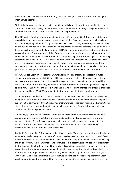November 2018. This visit was unfortunately cancelled owing to sickness absence. A re-arranged meeting was not made.

Staff at the housing association reported that Grant initially socialised with other residents in the communal areas, even having lunches on occasions. There were no housing management concerns and they were aware that Grant had visits from service professionals.

CPN/CC2 visited Grant for a pre-arranged meeting on 15th November 2018. They knocked the door several times but there was no answer. It was suspected that Grant was inside but unable to hear the door. CPN/CC2 planned to visit again in two weeks. CPN/CC2 rang the housing association office on the 28<sup>th</sup> November 2018 and as there was no answer left a voicemail message to be called back. A telephone call was made to the Care Home by CPN/CC2 enquiring which chemist Grant's medication was coming from. They were advised that Grant had been temporarily registered with a local (to the home) GP. It was advised that the Co-ordinator contact the GP practice. The Manager at the housing association contacted CPN/CC2 informing them that Grant had approached her expressing a worry over his medication saying he only had a 'weeks- worth' left. The pharmacy was contacted, and arrangements made for a further month of medication, but Grant would need to register at a local pharmacy following his move. CPN/CC2 contacted the GP to determine the new link Pharmacy.

CPN/CC2 visited Grant on 6th December. Grant was reported as cheerful and pleasant in mood stating he was happy for the visit. Grant said he was lonely and isolated. He apologised that he did not have a proper chair for him to sit on and for having too much smoke in his room. He said he could not listen to music as it may be too loud for others. He said he wanted to go back to hospital to learn how to use his hearing aid. He mentioned that he was being charged two amounts of council tax and needed help. CPN/CC2informed him that he would speak with his social worker.

Grant mentioned that he could do with a residential home rather than his own flat. He did not like being on his own. He admitted that he was 'a difficult customer' but he needed practical help and support in the community. CPN/CC2 reported that Grant was concordant with his medication. Grant stated that he had a constant humming sound in his head and had Tinnitus. Grant was told that CPN/CC2 would visit again in two weeks.

On the days prior to the  $7<sup>th</sup>$  December Grant had sat in the office with staff and seemed to want company appearing a little agitated and concerned about his medication. A senior care worker present contacted Social Services to obtain advice however social services were unable to find a record of this call. The Senior Care Worker also spoke with the CPN/CC2 who visited on 6<sup>th</sup> December and was told Grant was okay at that visit.

On the 7<sup>th</sup> December 2018 Grant came to the office around 4.00pm and asked staff to ring his doctor as he wasn't feeling very well. He told staff he was hearing voices and loud music in his head. Grant told staff his GP was Dr S at named health centre (HC1). Staff rang to be told by answerphone to ring the on-call system. The call was made, and staff were told a doctor would ring back. Grant told staff that he had bought a bottle of alcohol the previous day and had a drop in his coffee and so hadn't taken his medication that afternoon but would take it that evening. The on-call staff rang back to say that Grant was not registered with GP S and they would need to ring the practice he was registered with whilst living at the Care Home (HC2). A call was made to the Practice telling them that Grant was hearing voices and were advised that there were no appointments available and to ring on the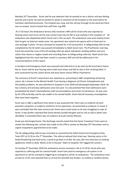Monday  $10<sup>th</sup>$  December. Grant said he was adamant that he wanted to see a doctor and was feeling panicky and scared. He said he wanted to speak to someone at the hospital on the ward where he had been admitted previously. The hospital was rung, and the call put through to the ward but there was no answer. Grant insisted that staff then ring 999.

At 17.03 hours the Ambulance Service (AS) received a 999 call for Grant who was reported as hearing voices and music and he was scared to go into his flat so was waiting in the reception of . An ambulance was dispatched which Grant met in the car park. The ambulance crew were told by Grant that he gets no help but needs some. His apartment was noted to be sparse with no food and no care package in place. He was conveyed to hospital for a full assessment. A safeguarding referral was completed by the AS which was passed immediately to Adult Social Care. The Practitioner Learning Event discussed the issue of the AS sending referrals about individuals needing welfare and care rather than abuse or neglect needs and recording them as Safeguarding referrals. Adult Social Care highlighted that this issue had been raised in a previous SAR and will be addressed in the recommendations of this report.

In Accident and Emergency Grant was assessed and referred on to be seen by the Psychiatric liaison Nurse. Grant said he was hearing voices with loud noises and felt he was in fear of being killed. A joint assessment by the Liaison Nurse and duty Senior House Officer Psychiatrist.

The summary of Grant's assessment was reported as- *presenting to A&E complaining of hearing voices. He is known to the Mental Health Trust having a diagnosis of Chronic Schizophrenia and Personality problems. He was admitted to hospital in June 2018 and discharged September 2018. He has a history of 4 previous admissions since last year. It is documented that most admissions were precipitated by Grant's dissatisfaction with accommodation and social circumstances. He was seen by his CPN yesterday and he was stable in his mental health. Grant had all necessary investigations that came back negative.* 

Grant was in A&E a significant time where it was assessed that '*there was no evidence of overt psychotic symptoms or evidence of distress to his experience. He presented as euthymic in mood. It was concluded that the main concerns for Grant were social issues as he was struggling to cope at home. It was further reported that Grant denied suicidal thoughts and no risk to self or others was identified. It concluded there was no evidence of acute mental illnesses.* 

Grant was discharged home. The discharge records noted that the Home Treatment Team were to review the following day, contact was made to the CPN to review on Monday 10<sup>th</sup> December and an urgent Outpatients appointment to be made.

The AS safeguarding referral was recorded as received by the Adult Social Care Emergency Duty Team EDT at 22.20 on the 7th December. The referral advised that Grant was '*hearing voices in his head threatening and loud music, scared to go back in to flat. No care, flat very clean but no cooking appliances, kettle or food. Wants to be re-housed. Taken to hospital.* EDT logged the concern.

On Sunday 9<sup>th</sup> December 2018 the ambulance service received a call at 13.18 for Grant who was reported as suffering with his mental health. Grant had used his emergency call system in his apartment to call for assistance triggering an emergency call for an ambulance. The ambulance crew arrived at 13.43, and reported that on arrival the doorbell was broken, no mobile or landline phone,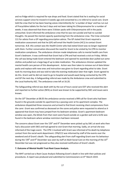and no fridge which is required for eye drops and food. Grant stated that he is waiting for social services support since he moved in 6 weeks ago and consented to a re-referral to social care. Grant told the crew that he has been hearing voices intermittently for 'a number of days' and has run out of Procyclidine tablets for the last 3 days and not been taking his Chlorpromazine for a number of weeks. It was observed that there were 3 blister packs with Chlorpromazine still in the packs untouched. Grant informed the ambulance crew that he was not suicidal and had no suicidal thoughts. He passed the mental capacity questioning from the ambulance crew. The Crew contacted 111 for advice from a GP regarding prescription advice. The GP stated that Grant required a medication assessment and that he (GP) will email the Health Centre (HC1) to contact Grant tomorrow. *N.B. this contact was the Health Centre who had stated Grant was no longer registered*  with them. Further conversation discussed the need for Grant to be visited by his CPN to monitor medication compliance. The ambulance clinician made telephones calls to mental health care from Grant's bedroom. It was confirmed that Grant had a CPN and had received a visit on Friday. Whilst the call was being made Grant entered the bedroom and opened his wardrobe door pulled out some clothes and pulled out a large bag of up to date medication. The ambulance clinician updated the mental health care person of this development. Action was then taken to remove out of date blister packs and replace with new ones and instruction was given to Grant regarding what to take. Grant took his morning dose and was told to take the evening medication later that night. Grant agreed to do this. Grant said he did not need to go to hospital and would await being contacted by the CPN and GP the next day. A Safeguarding referral was made by the Ambulance crew and submitted to the Local Authority ASC. The ambulance crew left at 16.20.

The Safeguarding referral was dealt with by the out of hours social care EDT who received the alert and reported no further action (NFA) as Grant was known to be supported by SW1 and issues were known.

On the 10<sup>th</sup> December at 08.05 the ambulance service received a 999 call for Grant who had been found in the grounds outside his apartment by a passing carer at his apartment complex. The ambulance dispatched three resources and arrived to find Grant receiving chest compressions from the carer. Grant was confirmed as deceased on the scene and police were requested to attend as it appeared that Grant may have jumped from his bedroom window. Grant's apartment bedroom window was open, the blinds from that room were found outside on a garden wall and a knife was found in the bedroom where window restrictors had been removed.

The concerns about Grant over the 7/8<sup>th</sup> and 9<sup>th</sup> December were picked up by SW1 at work who then had a discussion with SW2 and had agreed to visit Grant that morning. Sadly, on arrival she was informed of the tragic event. The CPN 1 involved with Grant was informed of his death by telephone contact from the social work department. CPN/CC2 was informed by staff of the events over the weekend and of Grant's death. The safeguarding alert from staff regarding Grant over his behaviour during the  $7/8$ <sup>th</sup> and 9<sup>th</sup> December was seen by staff at Adult Social Care on the morning of the 10<sup>th</sup> December but was not progressed as they also received notification of Grant's death.

#### **7. Outcome of Mental Health Trust Root Cause Analysis.**

The MHT carried out a Root Cause Analysis following Grant's death in line with their policies and procedures. A report was produced and submitted to Commissioners on 8<sup>th</sup> March 2019.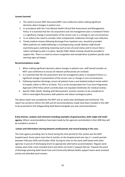#### **Lessons learned:**

- 1. The need to ensure MDT discussion/MDT case conference when making significant decisions about changes in patient care.
- 2. In accordance with the Trust Mental Health Clinical Risk Assessment and Management Policy: It is essential that the risk assessment and risk management plan is reviewed if there is a significant change in presentation of the service user or a change in care circumstances.
- 3. To re-enforce the need to consider other antipsychotic medication through case reflection.
- 4. Timely medical reviews following discharge from inpatient care, should be provided. *When patients are stable following a crisis/expressing suicide ideation staff should assertively query underlying reasoning such as loss of social status and to ensure that a robust contingency plan is in place. Specific Older Adults training should be provided to support this. There is a need to ensure recognition and consideration of patient specific early warning signs of relapse.*

#### **Recommendations made:**

- 1. When making significant decisions about changes in patient care, staff should consider an MDT case conference to ensure all relevant professionals are involved.
- 2. It is essential that the risk assessment and risk management plans is reviewed if there is a significant change in presentation of the service user or change in care circumstances.
- 3. Following inpatient discharge, ensure all patients have a pre-booked medical review within 4-6 weeks, either in OPA or at home. This is to be incorporated into Trust Care Programme Approach (CPA) Policy which currently does not stipulate timeframes for medical reviews.
- 4. Specific Older Adults 'Dealing with Bereavement' practice sessions to be considered to inform meaningful discussions with patients and robust contingency plans.

The above report was accepted by the MHT and an action plan developed and monitored. This report has served to inform this SAR and all recommendations made have been included in this SAR to be presented to the Safeguarding Adult Board alongside any new recommendations.

**8.Key themes, analysis and comment including examples of good practice, both single and multiagency.** *Where recommendations have been made by the agencies and detailed in their IMR they will be included in section 9.* 

## **Liaison and information sharing between professionals and record keeping in the case.**

The main agency providing care to Grant during the time period for this review was the MHT hospital ward. Grant spent more than 6 months on the hospital ward over two 3 + month periods between February 2018 and October 2018. During his time on the ward staff liaised with other agencies in pursuit of discharging Grant to appropriate alternative accommodation. Regular ward reviews were held, some included Grant and others (at Grant's request) did not. Towards the point of discharge planning Adult Social Care and Community Mental Health support teams were involved jointly and attended ward reviews.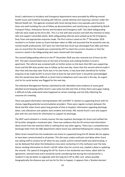Grant's admissions to Accident and Emergency departments were preceded by differing mental health issues and incidents including self-referral, suicide attempt and requiring a Section under the Mental Health Act. The agencies involved with Grant during these crisis episodes were found to liaise very well including the use of follow up documentation and monitoring as completed by British Transport Police, Ambulance Service and Accident and Emergency staff. Two Adult Safeguarding referrals were made by the AS to ASC. This is in line with best practice and with the intention to keep safe and support vulnerable adults. Both safeguarding referrals were picked up by the Emergency Duty Team and appropriate enquiries made. The first concern raised on the 7th December 2018 resulted in no further action as Grant had been taken to A&E and assumed that he would be seen by mental health professionals. EDT were not informed that Grant was discharged from A&E and there was no record that the hospital was contacted by EDT to check the current situation or that the concerns raised in the Safeguarding alert were shared with the hospital.

The second Safeguarding referral on the 9<sup>th</sup> December 2018 was also received out of hours by the EDT. This alert concentrated more on the lack of furniture and cooking facilities in Grant's apartment. The referral was screened with no further action on the basis that SW1 was supporting Grant and the MH duty worker was to follow up the next day. Given that this second referral made it clear that only two days later Grant was in his own home, it may have been beneficial for further enquiries to be made by EDT to ensure that at least he had some food. It should be acknowledged that this would have been difficult as Grant had no telephone and it was late in the day. An urgent visit for his social worker was flagged for the next day.

The Individual Management Review submitted by ASC identified some evidence of some good detailed record keeping within Grant's case notes but did note that at times there were gaps making it difficult to fully understand what happened at certain meetings and not fully reflecting the outcome of a meeting.

There was good information sharing between ASC and MHT in relation to supporting Grant with his choices regarding potential accommodation providers. There were regular contacts between the Ward and ASC when Grant spent long periods of time in hospital. Information regarding discharge dates, case allocations and updates were evident and timely. ASC shared Grant's care and support plan with the care home for information to support his discharge.

The MHT ward initiated in a timely manner the two inpatient discharges for Grant and notified the GP by letter alongside a treatment plan. There was evidence that the GP service had information about Grant from the ward but little or nothing from any other agency. There was a comprehensive discharge letter from the A&E department where Grant was admitted following the railway incident.

When Grant moved from the residential care home to supported living the GP details did not appear to have been communicated to all parties. This did cause undue confusion and delay when Grant was asking staff to contact his GP when he was unwell, and his mental health was deteriorating. It can be deduced that when the Ambulance crew were contacting 111 the confusion over the duty doctor sending information to Grant's old GP rather than his current one, implied a delay in updating the records. The speed of changing the GP for Grant in the residential care home, albeit with his agreement, seemed hasty and it would be worth considering that during the trial period for a resident it may be better to negotiate with the long-term GP to offer care where possible. Geographically the distance was not too far for this to happen. It appears that a 'blanket decision'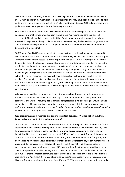occurs for residents entering the care home to change GP Practice. Grant had been with his GP for over 9 years and given his mistrust of some professionals this may have been a relationship to hold on to at the time of change. The last GP (GP3) who saw Grant in October 2018 did not record in the patient notes any arrangements for a follow-up appointment.

Staff from the residential care home visited Grant on the ward and completed an assessment for admission. Information was provided from the ward and ASC regarding a care plan and risk assessment. The planned discharge required that Grant would only be discharged if the trial was successful. Despite Grant being told that he was on a 6-week trial, the hospital discharge letter was sent out on the 18<sup>th</sup> September 2018. It appears that both the care home and Grant adhered to the timescale of a 6-week trial.

Staff from ASC and MHT were responsive to change in Grant's choices about where he wanted to live. When the move to the residential care home took place, ASC allocated a mental health support worker to assist Grant to access his previous property and to set up direct debit payments for his tenancy bill. From the chronology record of contacts with Grant during the time that he was in the residential care home there were numerous contacts both in person and by phone. Looking at the number of people involved with Grant and their differing roles (whilst it is good that staff were responding to Grant) it could have been confusing for him to know who was responsible for each action that he was requiring. This may well have exacerbated his frustration with his service received. This manifested itself in his expressing his anger and frustration with every member of staff who visited him. Whilst the support was good and during his time in the care home was more than weekly it was a stark contrast to the visits/support he had once he moved into a less supported environment.

When Grant moved back to Apartment 2, no information about his previous suicide attempt or formal assessment was shared with the Housing Association. As Grant was taking a tenancy agreement and was not requiring social care support (despite his initially saying he would and was deemed at risk if he was not in a supportive environment) very little information was available to staff at the Housing Association. *It is recognised that Grant was entitled to privacy and confidentiality and the repercussions of this are covered elsewhere in this report.*

## **Was capacity assessed, recorded and specific to certain decisions? Was legislation (e.g. Mental Capacity/Mental Health Act) used appropriately?**

Whilst in hospital Grant's capacity was recorded as assessed throughout the case notes and formal assessments were recorded as completed. When Grant was admitted to hospital in February 2018 he was assessed as lacking capacity to make an informed decision regarding his admission to hospital and treatment. He was placed on urgent DoLS and safeguard alert. During his two episodes of hospitalisation in 2018 there were occasions throughout treatment when Grant's capacity was fluctuant as he on occasion found it difficult to make decisions regarding day to day management. It was noted that concerns were recorded about risk if Grant was not in a 24-hour supportive environment such as a care home. In June 2018 the Consultant for Grant considered instituting a Guardianship Order to enable keeping Grant at the care home MH should he decide to leave. It was unfortunate that the medical team were not consulted or made aware of Grant's move out of the care home into Apartment 2. It is also of significance that Grant's capacity was not assessed prior to his move from the care home. The IMR's from ASC and MHT have made recommendations regarding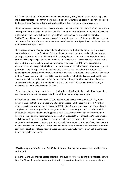this issue. Other legal options could have been explored regarding Grant's reluctance to engage or make best interest decisions that may present a risk. The Guardianship order would have been able to deal with Grant's place of living but would not have dealt with his money or property.

The BTP identified that when their Officers attended the incident at the railway station where Grant was reported as a 'suicidal person' their use of a 'voluntary basis' admission to hospital did achieve a positive place of safety but have recognised that the use of a different Section, namely a Section136 would have been a more appropriate route to have used . Refreshed guidance has been delivered to frontline officers to empower them with knowledge and give them confidence to utilise their powers more proactively.

There was good use of Deprivation of Liberties (DoLS) and Best Interest assessor with Advocacy eventually being provided for Grant. This added an extra safety-net layer to the risk management and capacity processes. It should be noted that during the assessments in May 2018 there were differing views regarding Grant having or not having capacity. Psychiatrist 2 stated that they had a view that Grant was unable to weigh up information to decide. The IMR for ASC identified a weakness here and suggests that where there were concerns that Grant was lacking some capacity (or decision specific capacity) then a further DoLS should have been submitted. In June 2018 following the railway incident Grant was re-admitted back to MHT hospital and taken off the Section 2 MHA. A ward review on 19<sup>th</sup> June 2018 recorded that Psychiatrist 3 had concerns about Grant's capacity to decide regarding paying for care and support, insight into his medication, discharge destination and managing his mental health in the community. This view influenced finding a residential care home environment for Grant.

There is no evidence from any of the agencies involved with Grant taking legal advice for dealing with people who refuse to engage regarding their finances but may need support.

ASC fulfilled its review duty under S.27 Care Act 2014 and started a review on 15th May 2018 however Grant at that point refused any adult care support and the case was closed. A further request to ASC involvement was triggered on 19<sup>th</sup> July 2018 where a review of Grant's needs was completed and a support plan for discharge to residential care was provided. ASC identified that although this request should have triggered a 'new' assessment rather than review this had no bearing on the outcome. It is interesting to note that at several times throughout Grant's times of crisis he was asking and recognising the need for social type of support. It is not clear how much negotiation techniques or drawing up a contract could have helped or the use of very clear role and responsibility explanations, but it may have been worth trying. Grant continuously asked numerous staff to support his social care needs expressing anxiety over tasks such as cleaning his hearing aid tubes and repair of his glasses.

## **Was there appropriate focus on Grant's health and well-being and how was this considered and addressed?**

Both the AS and BTP showed appropriate focus and support for Grant during their interactions with him. The AS spent considerable time with Grant in his apartment on the 9<sup>th</sup> December making sure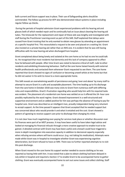both current and future support was in place. Their use of Safeguarding alerts should be commended. The follow-up process for BTP also demonstrated robust systems in place including regular follow up checks.

During the periods of hospital admission Grant experienced problems with his hearing aid and glasses both of which needed repair and he continually had an issue about cleaning the hearing aid tubes. The timescale for the replacement and repair of these aids was lengthy and investigated with staff during the Practitioner Learning event as part of this SAR. Staff explained that delays were caused from Grant insisting that he only wanted to obtain new glasses by attending an appointment at a specific hospital first. This necessitated a request to be seen and placed on a waiting list. Grant also insisted on a private hearing aid rather than an NHS one. It is evident that he was still having difficulties with his new hearing aid when discharged from hospital.

Grant complained about being lonely and isolated at the care home as he had no one he could talk to. He recognised that most residents had dementia and this lack of company appeared to affect how he behaved with people. After time Grant was noted to become critical of staff, rude to other residents and exhibiting threatening behaviour. Staff at the care home liaised heavily with external health professionals and contacted them whenever Grant requested to see them. The care home reported that Grant showed no signs of confusion or becoming unwell whilst at the home but that he did not waiver in his wish to move to a more appropriate home.

This SAR reveals an overwhelming wealth of persistence and going 'over and above' by many staff to attempt to secure Grant in a safe and acceptable placement. The time leading up to his discharge from the care home in October 2018 saw many visits to Grant from numerous staff with differing roles and responsibilities. Grant's frustration regarding who would help him with his required tasks was evident. The placement of a residential care home was settled on as it offered the 24- hour care possibly replicated by the ward regime. Grant showed improvement in a well-structured and supportive environment and an added positive for him was perhaps the absence of having to pay for hospital care. Grant was described as an intelligent man, proudly independent being very reluctant to accept support. As the time passed it appears that Grant accepted that he needed support but was concerned about who would provide it and what it entailed and the cost. Grant showed a pattern of agreeing to receive support care prior to discharge then changing his mind.

It is not clear how much negotiating over-paying for services took place or whether discussion over his finances were part of an MDT process. It may have been useful to have taken legal advice and looked at managing his financial refusals through a more creative approach to enable trust to be gained. A detailed contract with Grant may have been useful and a breach could have triggered a more in-depth investigation into executive capacity in addition to decisional capacity especially when refusing services where self-harm could occur. (e.g. not taking his medication). Attempts were made whilst Grant was in hospital to investigate whether Grant was experiencing cognitive deterioration, but Grant refused to have an MRI. There was no further reported attempts to re-visit this post discharge.

When Grant moved to the care home his support worker needed to source clothing as he was reported as having little with him. It was noted that a plan to obtain clothing had been delayed in July whilst in hospital and required a Section 17 to enable Grant to be accompanied home to gather clothing. Grant was eventually accompanied home to sort out some issues and collect clothing. Staff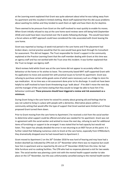at the Learning event explained that Grant was quite adamant about what he was taking away from his apartment and this resulted in limited clothing. Ward staff explained that this did cause problems about washing his clothes and they tended to wash them at night and have them dry for daytime.

There seemed to be pressure from Grant on the staff involved to react quickly to enable his moves. When Grant initially refused to stay at the care home ward reviews were still being held (September 2018) and could have been resurrected over the 6 weeks following discharge. This would have been a forum where an MDT approach could have considered the risks associated with Grant leaving the care home.

Grant was reported as having a 6-week trial period in the care home and if the placement had broken down, normal practice would be that his case would have gone back through his Consultant for assessment. This did not happen. The Trust responsible for Grant's support in the community explained at the Practice Learning Event that the staff member dealing with Grant at this time was an agency staff and has not worked with the Trust since this incident. It was further explained that the Trust no longer use Agency staff.

Ward reviews held whilst Grant was at the care home did not appear to accurately reflect his behaviour at the home or his wishes to leave. The community based MHT staff supported Grant with his application to move and assisted him with practical issues to furnish his apartment. Grant was refusing to purchase certain white goods some of which were necessary such as a fridge to store his eye medication. At no time was a risk assessment done prior to his discharge. It could not have been helpful to staff involved to have Grant threatening to go 'walk about' if he didn't move the next day and the manager of the care home stating that they would no longer be able to have him if his behaviour continued. **These pressures should have triggered a review and risk assessment as a minimum.**

During Grant living in the care home he voiced his anxiety about growing old and feelings that he was not suited to living in a place with people with a dementia. Alternative places within a community setting that would offer the type of support that Grant wanted were limited and of those proposed Grant turned them down.

Prior to Grant moving from the care home to Apartment 2 he received a visit from the social worker to determine what support could be offered and what was needed for his apartment. Grant was not in agreement with the social worker and wished to move the next day, refusing to wait for additional items of furnishings or support to be arranged. It was stated that he had capacity but would not listen. This report has already detailed the error in not returning to an MDT forum at this point. It is further noted that following numerous visits to Grant at the care home, especially from STRWorker3, they dramatically dropped once he had moved back to Apartment 2.

Grant moved to Apartment 2 on the 26<sup>th</sup> October 2018 he was hard of hearing and may have had a broken doorbell (as indicated by CPN visit on 15th November when there was no response but could hear him in apartment and as reported by AS visit on 9<sup>th</sup> December 2018) from this time. He had little furniture and no cooking facilities. The CPN who had no response planned a visit for two weeks later. The social worker was planning a joint visit with the mental health support worker to take place on the 13th November, but this was unfortunately cancelled owing to the mental health worker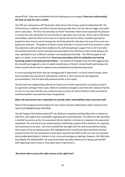being off sick. There was no evidence that the meeting was re-arranged**. Grant was unfortunately left with no visits for over a month.** 

The CPN was contacted on 28<sup>th</sup> November about Grant only having a week of medication left. The CPN sorted out a delivery and which chemist would provide them, but this did not trigger any earlier visit to take place. The first visit took place on the 6<sup>th</sup> December where Grant expressed his pleasure to receive the visit stating that this was the first to take place since moving. Grant said he felt lonely and isolated, could not listen to his music as it may be too loud for others, wanted to go back to hospital to learn how to use his hearing aid. He finally asked for help about his council tax as he was paying two amounts. The pattern of Grant's needs reaching a crisis point and to be reacted to rather than planned could not have been helpful to the staff attempting to support him or for Grant who felt isolated and lonely. At this meeting Grant described to the CPN that he did not like being on his own, admitted he was 'a difficult customer' but needed practical help. The CPN arranged to visit again in 2 weeks. It was recorded that '**Grant was concordant with his medication but hearing humming sound in his head and had tinnitus'.** The benefit of hindsight from this SAR suggests that this should have triggered a more in-depth consideration of Grant's mental health well-being as his history would indicate that his relapses were preceded by hearing humming noises.

It is not surprising that Grant was not managing well in Apartment 2 as all his recent reviews, plans and associated risk assessments indicated the need for a more structured and supported accommodation. This has been fully explored earlier in this report.

The AS made two safeguarding referrals for Grant one of which reported him as having no food in his apartment amongst other issues. Whilst he sometimes bought a meal from the restaurant facility on site. It is not clear that this was a daily occurrence and as he had no facility to heat any food his nutritional welfare may well have been marginalised.

## **What risk assessments were undertaken to consider other vulnerabilities Grant may have had?**

Much of the background and evidence for this section has been addressed in other sections of this report and highlighted gaps identified.

The ASC Support Plan Review dated 19<sup>th</sup> July 2018 was completed and identified risks in relation to self-harm, self-neglect and vulnerability regarding anti-social behaviour. The IMR from ASC identified a shortfall in practice as the risk assessment did not identify a risk plan or a separate risk assessment completed. This was found to be missed owing to staff being unaware of the existence of a separate risk assessment to be done. ASC have rectified this oversight with the staff concerned by making them aware of the accepted practice. ASC highlighted that it would have been beneficial and best practice for the CPA risk assessment to have been shared by the MHT to ASC as it was very detailed and provided good detail in relation to risk, crisis and contingency planning. However, this SAR notes that despite this detailed MHT risk assessment there was little reference to it being used by MHT staff regarding Grant's move or time spent back in Apartment 2.

#### **Was Grant able to access the right services at the right time?**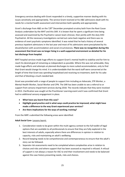Emergency services dealing with Grant responded in a timely, supportive manner dealing with his issues sensitively and appropriately. The service Grant received at his A&E admissions dealt with his needs for a mental health assessment and intervention both speedily and appropriately.

Grant's discharge from A&E on the 7/8th December prompted scrutiny both from the Root Cause Analysis undertaken by the MHT and this SAR. It is known that he spent a significant time being assessed and examined by the Psychiatric Liaison team clinician, then jointly with the duty SHO Psychiatrist. All the necessary investigations carried out came back negative and there was no evidence of overt psychotic symptoms identified. It was noted that he had a history of several previous inpatient admissions in the last year and most of his admissions were precipitated by his dissatisfaction with accommodation and social circumstances**. There was no recognition during this assessment that Grant was no longer living in a well-supported environment as detailed for his last discharge from hospital.** 

MHT hospital services made huge efforts to support Grant's mental health to stabilise and for him to reach his desired goal of remaining as independent as possible. Where this was not achievable, they made huge efforts and attempts at planned discharges to more suited accommodation, only to find that Grant would change his mind. It is understandable that the ward staff were concerned at the length of time that Grant was spending hospitalised and receiving no treatment, both for his sake and that of blocking a much-needed bed.

Grant was provided with a range of people to support him including an Advocate, STR Worker, a Mental Health Worker, Social Worker and CPN. The SAR has been unable to see a referral to or support from sensory impairment services during 2018. The records indicate that they were involved in 2013. Clarification was sought at the Practitioner Learning event and it was confirmed that Grant had no additional sensory engagement in place.

- **What have you learnt from this case?**
- **Highlight good practice and in what ways could practice be improved; what might have made a difference to the way Grant experienced your services?**
- **Are there implications for the ways of working; training?**

From the IMR's submitted the following areas were identified:

## **Adult Social Care-** Lessons learnt:

- 1. Consideration needs to be given within the multi-agency context to the full toolkit of legal options that are available to all professionals to ensure that they are fully explored in the best interests of adults, especially where there are differences in opinion in relation to capacity, risks and maintaining an adult's wellbeing.
- 2. Record keeping needs to be comprehensive and contemporaneous to ensure that the adult's story can be followed.
- 3. Separate risk assessments need to be completed where complexities arise in relation to choices and risks and where support that has been assessed as required is refused. A refusal of support is not always a reason for ASC to end their involvement and needs to be balanced against the case history presenting needs, risks and choices.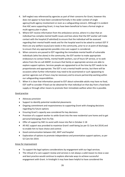- 4. Self-neglect was referenced by agencies as part of their concerns for Grant, however this does not appear to have been considered formally in the wider context of single agency/multi-agency involvement or even as a safeguarding concern. Although it is evident that ASC were supporting Grant, it may have been beneficial to have a formal single or multi-agency plan in place.
- 5. Where EDT receive information from the ambulance service, where it is clear that an individual has complex mental health issues and lives alone that the EDT worker will make contact with the hospital (if admitted) to ensure that the individual will be assessed regarding their mental health needs and for the hospital ward to be asked to contact EDT if there are any welfare issues/care needs in the community, prior to or at point of discharge, to ensure that any appropriate possible crisis care support is considered.
- 6. When concerns are passed to EDT regarding the immediate mental health of vulnerable individuals (who live alone) in the community, the EDT worker to make appropriate endeavours to contact family, mental health workers, out of hours GP service, or to seek advice from the on-call AMHP, to ensure that family or appropriate services are able to explore support options. Services people are signposted to at the time by EDT needs to be proportionate and appropriate. The EDT is not a mental health service, but there will be occasions when further information may need to be ascertained or such signposting to partner agencies out of hours may be necessary and to ensure partnership working within our safeguarding responsibilities.
- 7. When it is clear that information passed to EDT about vulnerable adults may have no food, EDT staff to consider if food can be obtained for that individual on that day from a food bank supply or through other means to promote their immediate welfare when this is possible.

## Good practice

- Advocacy provision
- Support to identify potential residential placements
- Ongoing commitment and responsiveness to supporting Grant with changing decisions regarding his future options
- Ensuring Grant's capacity was considered for key decisions
- Provision of a support worker to settle Grant into the new residential care home and to get personal belongings from his flat.
- Offer of support by SW1 to assist with move into flat in October 2-18
- All ASC support was provided to maximise Grant's well-being (as per S1 Care Act 2014) and to enable him to have choice and control.
- Good communication between ASC, MHT and hospital
- Exploration of options to promote independence and preventative support options, as per S2 Care Act 2014.

## Areas for improvement

- To support the legal options considerations by engagement with our legal services.
- The refusal of a care support review and services is not always a valid reason to close a case and best practice would continue to explore alternate ways to achieve successful engagement with Grant. In hindsight it may have been helpful to have considered the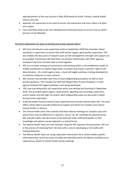appropriateness of the case closure in May 2018 based on Grant's history, mental health, choices and risks.

- Separate risk assessment to be used to ensure risk assessment and more robust risk plans are in place.
- Case recording needs to be more detailed and contemporaneous to ensure that an adult's journey can be followed.

## Are there implications for ways of working and actions already taken?

- ASC have introduced a new supervision policy in September 2018 that promotes robust standards in supervision to ensure that staff receive regular, good quality supervision. This also enables the discussion of complex cases so that management oversight and support can be provided. Practitioners felt that there are positive relationships with other agencies involved at the time and were able to work together.
- ASC are currently revising risk assessments and working within a risk enablement model, to enable practitioners to balance legal duties to protect and respect a person's right to selfdetermination. On a multi-agency basis, a local self-neglect pathway is being developed to co-ordinate responses to such concerns.
- ASC intranet now provides clear links to local safeguarding procedures as well as local practice guidance. This includes the Adult Self-Neglect Best Practice Guidance. A multiagency localised self-neglect pathway is also being developed.
- ASC case recording policy and supervision policy was devised and launched in September 2018. This provided explicit agency requirements regarding case recording, supervision every 6 weeks and that high risk and/or adult safeguarding cases are discussed in depth during formal supervision.
- A Mental Health Practice Lead has been appointed and recently started within ASC. This lead officer will be able to provide professional support and advice for complex cases where mental health is a feature,
- The mental health team now routinely hold best interest meetings for complex cases and where there may be differences in opinions. Future 'can do' meetings are planned across ASC and will enable case discussions to be held with wider staff participation so that knowledge and options can be explored in a shared forum.
- The Mental Health Team are now routinely using the ASC separate risk assessment. ASC are in the process of reviewing their risk tools with a view to developing a risk toolkit with training delivered.
- The Mental Health Team are using a Specialist Intervention form, which enables specific information that cannot be easily recorded and identified within the Mosaic workflow to be captured e.g. details of mental health review meetings.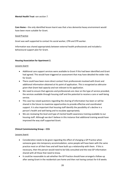**Mental Health Trust -***see section 7.* 

**Care Home –** the only identified lesson learnt was that a less dementia heavy environment would have been more suitable for Grant.

#### Good Practice

Grant was well supported to contact his social worker, CPN and STR worker.

Information was shared appropriately between external health professionals and included a behavioural support plan for Grant.

#### **Housing Association for Apartment 2.**

#### Lessons learnt

- Additional care support services were available to Grant if this had been identified and Grant had agreed. This would have triggered an assessment that may have detailed the wider risks for Grant.
- There could have been more direct contact from professionals involved with Grant and additional information obtained at his point of application. *This is recognised as obtrusive given that Grant had capacity and not relevant to his application.*
- We need to ensure that agencies and professionals are clear on the type of service provided, the services available through housing staff and the potential to receive a care or well-being service.
- This case has raised questions regarding the sharing of information has been or will be shared in the future to maximise opportunities to provide effective and coordinated support. It is also important that housing staff identify the possibility of s decline in a person's health and well-being and to escalate appropriately.
- We are reviewing the level and type of mental health awareness training available to our housing staff. Although we don't believe in this instance that additional training would have improved the way staff supported Grant.

## **Clinical Commissioning Group – CCG**

#### Lessons learnt

- Consideration needs to be given regarding the effect of changing a GP Practice when someone goes into temporary accommodation, some people will have been with the same practice most or all their lives and will have built up a relationship with them. If this is necessary, then the person would need to be fully consulted and the new GP information shared with all those that need to know.
- It could be reasonable to ask whether the GP Practice should have arranged a follow-up after seeing Grant in the residential care home and then not having contact for 6-8 weeks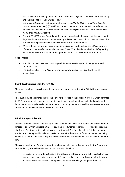before he died – following the second Practitioner learning event, this issue was followed up and the response received was as follows:

*Grant was actively open to Mental Health services and had a CPN, it would have been for them to monitor him. Only if the GP had started or changed Grant's medication should the GP have followed him up. Whilst Grant was open to a Psychiatrist it was unlikely that a GP would change his medication.* 

- The last GP (GP3) to see Grant didn't document the review in the notes but this was done 2 days later by an administrator when sending a directive to stop a blood pressure tablet. This is not standard practice and has been communicated to the Practice.
- When patients are moving accommodation, it is important to include the GP's as they are often the route to referrals to other services. The CCG lead and named GP for Safeguarding will work with GP practices and other agencies to improve the communication flow.

Good Practice

- Both GP practices reviewed Grant in good time after receiving the discharge letter and treatment plan.
- The discharge letter from A&E following the railway incident was good with lots of information.

#### **Health Trust with responsibility for A&E.**

There were no implications for practice or areas for improvement from the SAR IMR submission or review.

The Trust should be commended for their effective practice in their support of Grant when admitted to A&E. He was quickly seen, and his mental health was the primary focus as he had no physical health issues. Appropriate referrals were made completing the mental health triage assessment tool and where needed Grant was in direct observation.

#### **British Transport Police -BT**

Officers attending Grant at the railway incident conducted all necessary actions and liaison without hindrance and within acceptable timescales. The procedures for reporting, recording and progress chasing on Grant was noted to be of a very high standard. The force has identified that the use of the Section 136 may well have been a preferred route for the situation for Grant, namely enabling him to be taken to a place of safety and receive treatment. This had no bearing on the outcome for him.

The wider implications for similar situations where an individual is deemed at risk of self-harm and attended to by BTP will benefit from actions already taken by BTP-

 As part of a Force-wide restructure, the delivery of safeguarding and public protection now comes under one central command. Refreshed guidance and briefings are being delivered to frontline officers in order to empower them with knowledge that gives them the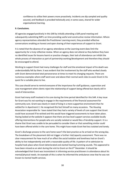confidence to utilise their powers more proactively. Incidents are dip sampled and quality assured, and feedback is provided holistically and, in some cases, shared for wider organisational learning.

#### **9. Conclusions.**

All agencies engaged positively in this SAR by initially attending a SAR panel meeting and subsequently submitting IMR's on time providing useful and constructive review information. Where agency representatives attended the Practitioner Learning event, they provided reflective conversations enabling an honest and open sharing of their experiences of support to Grant.

It is noted that the absence of an agency attendance at the Learning event does limit the opportunity for a truly reflective review. When an agency does not attend as they believe they have no identified issues for lessons learnt or practice changes, their lack of attendance can inhibit the whole process of interaction as part of partnership working/development and therefore they should be encouraged to attend.

Working to support Grant had many challenges for staff and the emotional impact of his death was understandably felt by them. It was evident that the involvement by the staff who worked closely with Grant demonstrated total perseverance at times to meet his changing requests. There are numerous examples where staff went over and above their normal work roles to assist Grant in his quest for a suitable place to live.

This case should serve to remind everyone of the importance for staff guidance, supervision and case management when clients reject the relationship of support being offered but clearly still in need of intervention.

Grant had many staff involved in his care during the time period identified for this SAR. A key issue for Grant was his not wanting to engage in the requirements of the financial assessment for community care. Grant was clearly in need of living in a more supportive environment than he settled for in Apartment 2. He recognised this fact himself on many occasions. The Housing Association responsible for have stated that they had a variety of levels of care support that Grant could have accessed if he wished and this would have triggered assessments to have taken place. Having looked at the website it appears that there are low level support services available locally offering interventions for people who are socially isolated or would like a friendship support. It is a shame that Grant was unable to be persuaded to consider them or that something similar could have been offered whilst in the care home. This might have made Grant feel less isolated and lonely.

Grant's discharge process to the care home wasn't the best practice as he arrived on the wrong day. The breakdown of the placement did not trigger a further risk/capacity assessment. There was no clear measurement for how much of an effect the social isolation and loneliness had on Grant's ability to live independently and with a reasonable quality of life. A pattern of re-admission to hospital took place when Grant deteriorated and started hearing humming sounds. This appeared to have been missed as an alert during the visit to Grant on the 6<sup>th</sup> December. It should be acknowledged that Grant was inconsistent in informing service practitioners in attendance about his mental/physical needs. An example of this is when he informed the ambulance crew that he was not known to mental health services.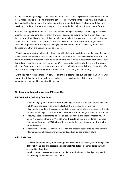It could be easy to get bogged down by expectations that 'something should have been done' when Grant made 'unwise' decisions. This is the ethical territory where rights of the individual must be balanced with a duty of care. The IMR's submitted and the Root Cause Analysis undertaken have carefully considered this issue with helpful actions identified to help practitioners in the future.

A theme that appeared to dictate Grant's reluctance to engage or accept certain support services was the issue of having to pay for them. It was not possible to know if he had enough disposable income other than his word for it. It is a thought that maybe this was a worry and a trigger for some of his decisions. Research as part of this SAR has revealed very little information or guidance available for practitioners attempting to engage with vulnerable adults specifically about their finances when they are not willing to disclose details.

Effective communication with schizophrenic individuals is particularly important because they are easily overwhelmed by the external environment (*schizophrenia.com)*. Skilful communication can make an enormous difference in the ability of patients and families to resolve the problems of daily living. From the information received for this SAR it has not been clear whether any of the support plans for Grant looked at the best way to communicate with Grant whilst living in his apartment(s). This was especially pertinent with the added issue of Grant being hard of hearing.

Grant was not in receipt of sensory services during this latter period but had been in 2013. He was expressing difficulties with his sight and hearing aid and may have benefitted from re-visiting whether services could have assisted him again.

## **10. Recommendations from agency IMR's and RCA.**

## **MHT & Hospital (including from RCA).**

- 1. When making significant decisions about changes in patient care, staff should consider an MDT case conference to ensure all relevant professionals are involved.
- 2. It is essential that the risk assessment and risk management plans is reviewed if there is a significant change in presentation of the service user or change in care circumstances.
- 3. Following inpatient discharge, ensure all patients have a pre-booked medical review within 4-6 weeks, either in OPA or at home. This is to be incorporated into Trust Care Programme Approach (CPA) Policy which currently does not stipulate timeframes for medical reviews.
- 4. Specific Older Adults 'Dealing with Bereavement' practice sessions to be considered to inform meaningful discussions with patients and robust contingency plans.

## **Adult Social Care:**

- 1. New case recording policy to be developed and rolled out to all staff, with briefings held**. (N.B. Policy in place and accessible on intranet Dec.2018)** To be monitored through case audits – **Ongoing.**
- 2. Develop new risk assessment tool and guidance, embed new tool and guidance within ASC, training to be delivered to ASC staff.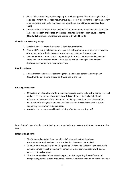- 3. ASC staff to ensure they explore legal options where appropriate- to be sought from LA Legal department where required. Improve legal literacy by training through the delivery of safeguarding training to managers and operational staff. (**training provided June 2019)**
- 4. Ensure a robust response is provided by ASC for when out of hours concerns are raised-EDT to ensure staff are briefed on the response standards for out of hours concerns. (**Standards have been identified and shared with all EDT staff)**

#### **Clinical Commissioning Group:**

- 1. Feedback to GP's where there was a lack of documentation.
- 2. Promote GP's being included in multi-agency meetings/communications for all aspects of working, to include discharge arrangements and safeguarding concerns.
- 3. To work with the named GP for Safeguarding Adults and Children on finding ways of improving communication with GP practices, to include looking at the quality of discharge summaries from hospital settings.

## **Healthcare Trust:**

1. To ensure that the Mental Health triage tool is audited as part of the Emergency Department audit plan to ensure continued use of the tool.

#### **Housing Association:**

- 1. Undertake an internal review to include and ascertain wider risks at the point of referral and or receiving the housing application. This would potentially give additional information in respect of the tenant and could flag a need for earlier intervention.
- 2. Ensure all referral agencies are clear on the nature of the service to enable better supporting information to be provided.
- 3. Consider the current mental health training offer for our housing staff.

# From this SAR the author has the following recommendations to make in addition to those from the IMR's.

#### **Safeguarding Board:**

- **1.** The Safeguarding Adult Board should satisfy themselves that the above Recommendations have been completed within the timescales applied.
- **2.** The SAB must ensure that Adult Safeguarding Training and Guidance includes a multiagency approach to self-neglect, risk management and communication with people who do not easily engage.
- **3.** The SAB has received information in a previous SAR regarding the notification of Safeguarding referrals from Ambulance Services. Clarification should be made to enable